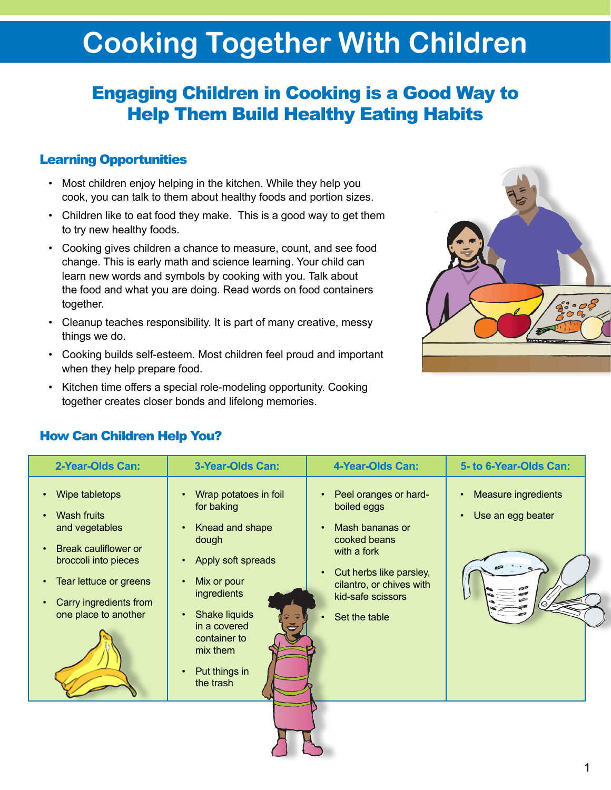# **Cooking Together With Children**

# Engaging Children in Cooking is a Good Way to Help Them Build Healthy Eating Habits

### Learning Opportunities

- Most children enjoy helping in the kitchen. While they help you cook, you can talk to them about healthy foods and portion sizes.
- Children like to eat food they make. This is a good way to get them to try new healthy foods.
- Cooking gives children a chance to measure, count, and see food change. This is early math and science learning. Your child can learn new words and symbols by cooking with you. Talk about the food and what you are doing. Read words on food containers together.
- Cleanup teaches responsibility. It is part of many creative, messy things we do.
- Cooking builds self-esteem. Most children feel proud and important when they help prepare food.
- Kitchen time offers a special role-modeling opportunity. Cooking together creates closer bonds and lifelong memories.



| 2-Year-Olds Can:                                                                                                                                                                                | 3-Year-Olds Can:                                                                                                                                                                                               | 4-Year-Olds Can:                                                                                                                                                                                 | 5- to 6-Year-Olds Can:                                |
|-------------------------------------------------------------------------------------------------------------------------------------------------------------------------------------------------|----------------------------------------------------------------------------------------------------------------------------------------------------------------------------------------------------------------|--------------------------------------------------------------------------------------------------------------------------------------------------------------------------------------------------|-------------------------------------------------------|
| Wipe tabletops<br><b>Wash fruits</b><br>and vegetables<br>Break cauliflower or<br>broccoli into pieces<br>Tear lettuce or greens<br>$\bullet$<br>Carry ingredients from<br>one place to another | Wrap potatoes in foil<br>for baking<br>Knead and shape<br>dough<br>Apply soft spreads<br>Mix or pour<br>ingredients<br>Shake liquids<br>in a covered<br>container to<br>mix them<br>Put things in<br>the trash | Peel oranges or hard-<br>boiled eggs<br>Mash bananas or<br>$\bullet$<br>cooked beans<br>with a fork<br>Cut herbs like parsley,<br>cilantro, or chives with<br>kid-safe scissors<br>Set the table | Measure ingredients<br>Use an egg beater<br>$\bullet$ |
|                                                                                                                                                                                                 |                                                                                                                                                                                                                |                                                                                                                                                                                                  |                                                       |

### How Can Children Help You?